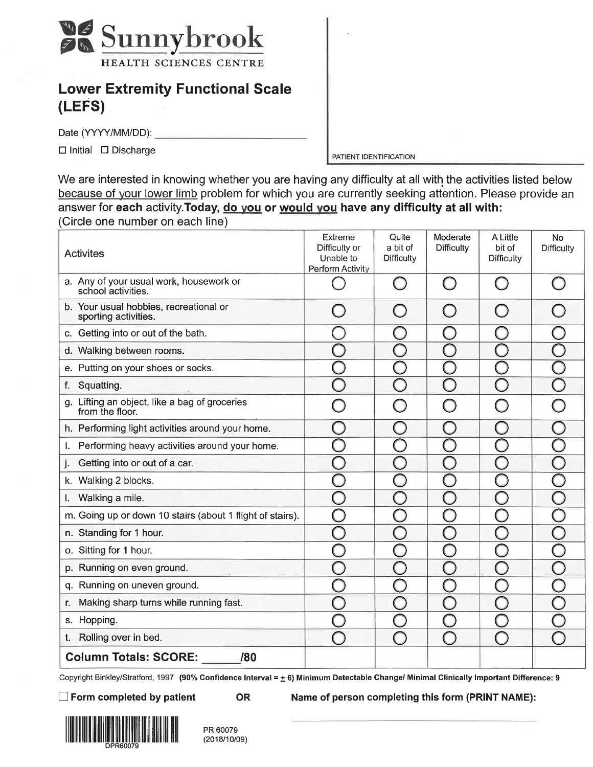

## **Lower Extremity Functional Scale** (LEFS)

Date (YYYY/MM/DD):

 $\Box$  Initial  $\Box$  Discharge

PATIENT IDENTIFICATION

We are interested in knowing whether you are having any difficulty at all with the activities listed below because of your lower limb problem for which you are currently seeking attention. Please provide an answer for each activity. Today, do you or would you have any difficulty at all with: (Circle one number on each line)

| <b>Activites</b>                                                 | Extreme<br>Difficulty or<br>Unable to<br>Perform Activity | Quite<br>a bit of<br><b>Difficulty</b> | Moderate<br><b>Difficulty</b> | A Little<br>bit of<br>Difficulty | No<br><b>Difficulty</b> |
|------------------------------------------------------------------|-----------------------------------------------------------|----------------------------------------|-------------------------------|----------------------------------|-------------------------|
| a. Any of your usual work, housework or<br>school activities.    |                                                           | $\begin{pmatrix} 1 \\ 1 \end{pmatrix}$ |                               |                                  |                         |
| b. Your usual hobbies, recreational or<br>sporting activities.   |                                                           |                                        |                               |                                  |                         |
| c. Getting into or out of the bath.                              |                                                           |                                        |                               |                                  |                         |
| d. Walking between rooms.                                        |                                                           |                                        |                               |                                  |                         |
| e. Putting on your shoes or socks.                               |                                                           |                                        |                               |                                  |                         |
| Squatting.<br>f.                                                 |                                                           |                                        |                               |                                  |                         |
| g. Lifting an object, like a bag of groceries<br>from the floor. |                                                           |                                        |                               |                                  |                         |
| h. Performing light activities around your home.                 |                                                           |                                        |                               |                                  |                         |
| Performing heavy activities around your home.<br>I.              |                                                           |                                        |                               |                                  |                         |
| Getting into or out of a car.<br>j.                              |                                                           |                                        |                               |                                  |                         |
| k. Walking 2 blocks.                                             |                                                           |                                        |                               |                                  |                         |
| Walking a mile.<br>I.                                            |                                                           |                                        |                               |                                  |                         |
| m. Going up or down 10 stairs (about 1 flight of stairs).        | $\begin{bmatrix} 1 \ 1 \end{bmatrix}$                     |                                        |                               |                                  |                         |
| n. Standing for 1 hour.                                          |                                                           |                                        |                               |                                  |                         |
| o. Sitting for 1 hour.                                           |                                                           |                                        |                               |                                  |                         |
| p. Running on even ground.                                       |                                                           |                                        |                               |                                  |                         |
| q. Running on uneven ground.                                     |                                                           |                                        |                               |                                  |                         |
| Making sharp turns while running fast.<br>r.                     |                                                           |                                        |                               |                                  |                         |
| s. Hopping.                                                      |                                                           |                                        |                               |                                  |                         |
| Rolling over in bed.<br>t.                                       |                                                           |                                        |                               |                                  |                         |
| <b>Column Totals: SCORE:</b><br>/80                              |                                                           |                                        |                               |                                  |                         |

Copyright Binkley/Stratford, 1997 (90% Confidence Interval = ± 6) Minimum Detectable Change/ Minimal Clinically Important Difference: 9

 $\Box$  Form completed by patient

**OR** 

Name of person completing this form (PRINT NAME):